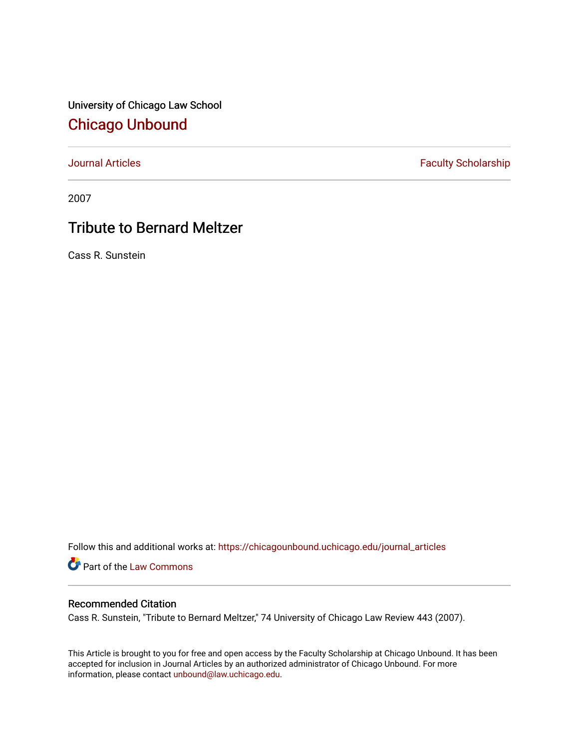University of Chicago Law School [Chicago Unbound](https://chicagounbound.uchicago.edu/)

[Journal Articles](https://chicagounbound.uchicago.edu/journal_articles) **Faculty Scholarship Faculty Scholarship** 

2007

## Tribute to Bernard Meltzer

Cass R. Sunstein

Follow this and additional works at: [https://chicagounbound.uchicago.edu/journal\\_articles](https://chicagounbound.uchicago.edu/journal_articles?utm_source=chicagounbound.uchicago.edu%2Fjournal_articles%2F8612&utm_medium=PDF&utm_campaign=PDFCoverPages) 

Part of the [Law Commons](http://network.bepress.com/hgg/discipline/578?utm_source=chicagounbound.uchicago.edu%2Fjournal_articles%2F8612&utm_medium=PDF&utm_campaign=PDFCoverPages)

## Recommended Citation

Cass R. Sunstein, "Tribute to Bernard Meltzer," 74 University of Chicago Law Review 443 (2007).

This Article is brought to you for free and open access by the Faculty Scholarship at Chicago Unbound. It has been accepted for inclusion in Journal Articles by an authorized administrator of Chicago Unbound. For more information, please contact [unbound@law.uchicago.edu](mailto:unbound@law.uchicago.edu).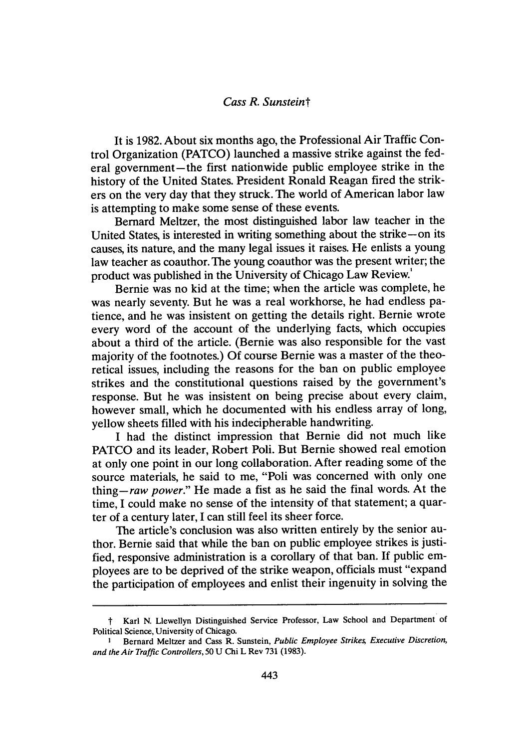## *Cass R. Sunsteint*

It is **1982.** About six months ago, the Professional Air Traffic Control Organization **(PATCO)** launched a massive strike against the federal government—the first nationwide public employee strike in the history of the United States. President Ronald Reagan fired the strikers on the very day that they struck. The world of American labor law is attempting to make some sense of these events.

Bernard Meltzer, the most distinguished labor law teacher in the United States, is interested in writing something about the strike-on its causes, its nature, and the many legal issues it raises. He enlists a young law teacher as coauthor. The young coauthor was the present writer; the product was published in the University of Chicago Law Review.'

Bernie was no kid at the time; when the article was complete, he was nearly seventy. But he was a real workhorse, he had endless patience, and he was insistent on getting the details right. Bernie wrote every word of the account of the underlying facts, which occupies about a third of the article. (Bernie was also responsible for the vast majority of the footnotes.) **Of** course Bernie was a master of the theoretical issues, including the reasons for the ban on public employee strikes and the constitutional questions raised **by** the government's response. But he was insistent on being precise about every claim, however small, which he documented with his endless array of long, yellow sheets filled with his indecipherable handwriting.

**I** had the distinct impression that Bernie did not much like **PATCO** and its leader, Robert Poli. But Bernie showed real emotion at only one point in our long collaboration. After reading some of the source materials, he said to me, "Poli was concerned with only one *thing-raw power."* He made a fist as he said the final words. At the time, I could make no sense of the intensity of that statement; a quarter of a century later, **I** can still feel its sheer force.

The article's conclusion was also written entirely **by** the senior author. Bernie said that while the ban on public employee strikes is justified, responsive administration is a corollary of that ban. **If** public employees are to be deprived of the strike weapon, officials must "expand the participation of employees and enlist their ingenuity in solving the

t Karl **N.** Llewellyn Distinguished Service Professor, Law School and Department of Political Science, University of Chicago.

**I** Bernard Meltzer and Cass R. Sunstein, Public Employee **Strikes Executive** *Discretion, and the Air Traffic Controllers, 50* **U** Chi L Rev **731 (1983).**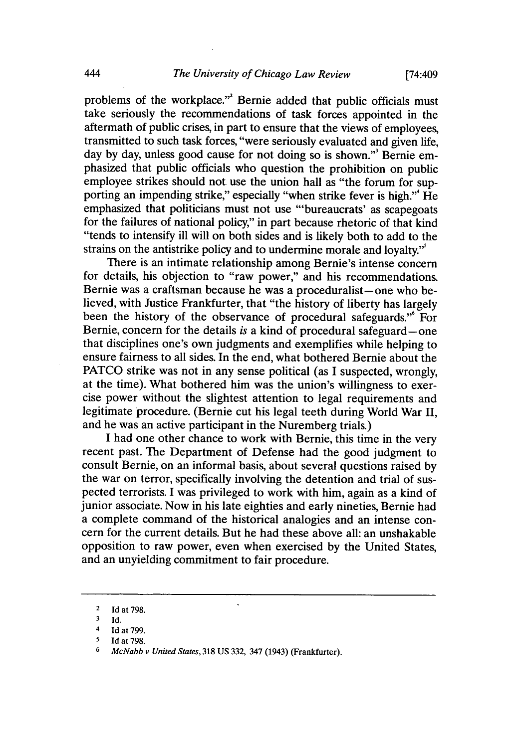problems of the workplace."' Bernie added that public officials must take seriously the recommendations of task forces appointed in the aftermath of public crises, in part to ensure that the views of employees, transmitted to such task forces, "were seriously evaluated and given life, day **by** day, unless good cause for not doing so is shown."' Bernie emphasized that public officials who question the prohibition on public employee strikes should not use the union hall as "the forum for supporting an impending strike," especially "when strike fever is high."<sup>4</sup> He emphasized that politicians must not use "'bureaucrats' as scapegoats for the failures of national policy," in part because rhetoric of that kind "tends to intensify ill will on both sides and is likely both to add to the strains on the antistrike policy and to undermine morale and loyalty."'

There is an intimate relationship among Bernie's intense concern for details, his objection to "raw power," and his recommendations. Bernie was a craftsman because he was a proceduralist-one who believed, with Justice Frankfurter, that "the history of liberty has largely been the history of the observance of procedural safeguards."<sup>6</sup> For Bernie, concern for the details *is* a kind of procedural safeguard-one that disciplines one's own judgments and exemplifies while helping to ensure fairness to all sides. In the end, what bothered Bernie about the **PATCO** strike was not in any sense political (as **I** suspected, wrongly, at the time). What bothered him was the union's willingness to exercise power without the slightest attention to legal requirements and legitimate procedure. (Bernie cut his legal teeth during World War II, and he was an active participant in the Nuremberg trials.)

**I** had one other chance to work with Bernie, this time in the very recent past. The Department of Defense had the good judgment to consult Bernie, on an informal basis, about several questions raised **by** the war on terror, specifically involving the detention and trial of suspected terrorists. **I** was privileged to work with him, again as a kind of junior associate. Now in his late eighties and early nineties, Bernie had a complete command of the historical analogies and an intense concern for the current details. But he had these above all: an unshakable opposition to raw power, even when exercised **by** the United States, and an unyielding commitment to fair procedure.

<sup>2</sup> **Id** at **798.**

**<sup>3</sup> Id.**

<sup>4</sup>**Id** at **799.**

**<sup>5</sup> Id** at **798.**

**<sup>6</sup>** *McNabb v United States,* **318 US 332,** 347 (1943) (Frankfurter).